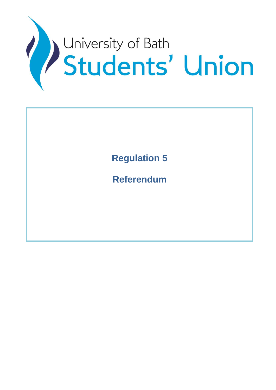

**Regulation 5**

**Referendum**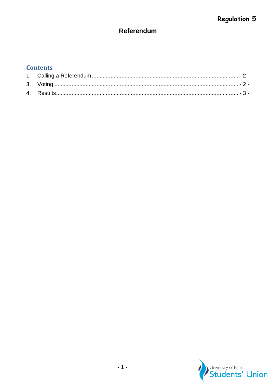# Referendum

## **Contents**

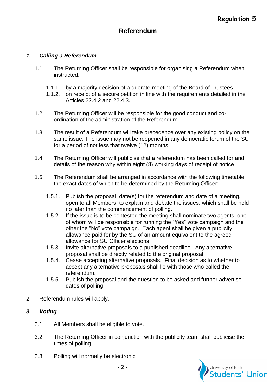### <span id="page-2-0"></span>*1. Calling a Referendum*

- 1.1. The Returning Officer shall be responsible for organising a Referendum when instructed:
	- 1.1.1. by a majority decision of a quorate meeting of the Board of Trustees
	- 1.1.2. on receipt of a secure petition in line with the requirements detailed in the Articles 22.4.2 and 22.4.3.
- 1.2. The Returning Officer will be responsible for the good conduct and coordination of the administration of the Referendum.
- 1.3. The result of a Referendum will take precedence over any existing policy on the same issue. The issue may not be reopened in any democratic forum of the SU for a period of not less that twelve (12) months
- 1.4. The Returning Officer will publicise that a referendum has been called for and details of the reason why within eight (8) working days of receipt of notice
- 1.5. The Referendum shall be arranged in accordance with the following timetable, the exact dates of which to be determined by the Returning Officer:
	- 1.5.1. Publish the proposal, date(s) for the referendum and date of a meeting, open to all Members, to explain and debate the issues, which shall be held no later than the commencement of polling.
	- 1.5.2. If the issue is to be contested the meeting shall nominate two agents, one of whom will be responsible for running the "Yes" vote campaign and the other the "No" vote campaign. Each agent shall be given a publicity allowance paid for by the SU of an amount equivalent to the agreed allowance for SU Officer elections
	- 1.5.3. Invite alternative proposals to a published deadline. Any alternative proposal shall be directly related to the original proposal
	- 1.5.4. Cease accepting alternative proposals. Final decision as to whether to accept any alternative proposals shall lie with those who called the referendum.
	- 1.5.5. Publish the proposal and the question to be asked and further advertise dates of polling
- 2. Referendum rules will apply.

#### <span id="page-2-1"></span>*3. Voting*

- 3.1. All Members shall be eligible to vote.
- 3.2. The Returning Officer in conjunction with the publicity team shall publicise the times of polling
- 3.3. Polling will normally be electronic